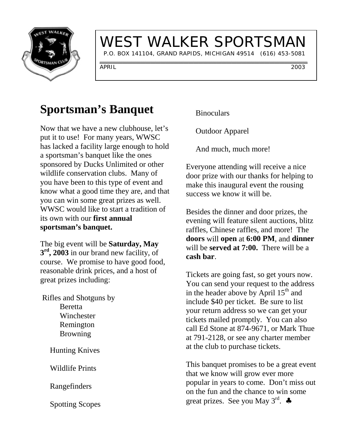

## WEST WALKER SPORTSMAN

P.O. BOX 141104, GRAND RAPIDS, MICHIGAN 49514 (616) 453-5081

APRIL 2003

### **Sportsman's Banquet**

Now that we have a new clubhouse, let's put it to use! For many years, WWSC has lacked a facility large enough to hold a sportsman's banquet like the ones sponsored by Ducks Unlimited or other wildlife conservation clubs. Many of you have been to this type of event and know what a good time they are, and that you can win some great prizes as well. WWSC would like to start a tradition of its own with our **first annual sportsman's banquet.**

The big event will be **Saturday, May 3rd, 2003** in our brand new facility, of course. We promise to have good food, reasonable drink prices, and a host of great prizes including:

 Rifles and Shotguns by Beretta Winchester Remington Browning

Hunting Knives

Wildlife Prints

Rangefinders

Spotting Scopes

**Binoculars** 

Outdoor Apparel

And much, much more!

Everyone attending will receive a nice door prize with our thanks for helping to make this inaugural event the rousing success we know it will be.

Besides the dinner and door prizes, the evening will feature silent auctions, blitz raffles, Chinese raffles, and more! The **doors** will **open** at **6:00 PM**, and **dinner** will be **served at 7:00.** There will be a **cash bar**.

Tickets are going fast, so get yours now. You can send your request to the address in the header above by April  $15<sup>th</sup>$  and include \$40 per ticket. Be sure to list your return address so we can get your tickets mailed promptly. You can also call Ed Stone at 874-9671, or Mark Thue at 791-2128, or see any charter member at the club to purchase tickets.

This banquet promises to be a great event that we know will grow ever more popular in years to come. Don't miss out on the fun and the chance to win some great prizes. See you May  $3^{rd}$ .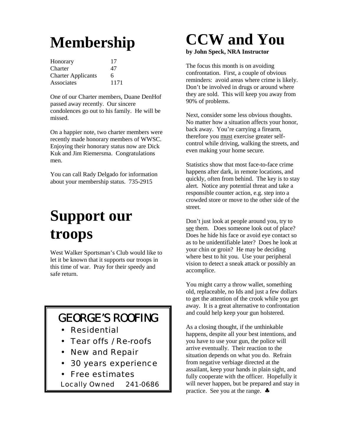# **Membership**

| Honorary                  | 17   |
|---------------------------|------|
| Charter                   | 47   |
| <b>Charter Applicants</b> | 6    |
| Associates                | 1171 |

One of our Charter members, Duane DenHof passed away recently. Our sincere condolences go out to his family. He will be missed.

On a happier note, two charter members were recently made honorary members of WWSC. Enjoying their honorary status now are Dick Kuk and Jim Riemersma. Congratulations men.

You can call Rady Delgado for information about your membership status. 735-2915

# **Support our troops**

West Walker Sportsman's Club would like to let it be known that it supports our troops in this time of war. Pray for their speedy and safe return.

#### GEORGE'S ROOFING

- Residential
- Tear offs / Re-roofs
- New and Repair
- 30 years experience
- Free estimates

Locally Owned 241-0686

## **CCW and You**

#### **by John Speck, NRA Instructor**

The focus this month is on avoiding confrontation. First, a couple of obvious reminders: avoid areas where crime is likely. Don't be involved in drugs or around where they are sold. This will keep you away from 90% of problems.

Next, consider some less obvious thoughts. No matter how a situation affects your honor, back away. You're carrying a firearm, therefore you must exercise greater selfcontrol while driving, walking the streets, and even making your home secure.

Statistics show that most face-to-face crime happens after dark, in remote locations, and quickly, often from behind. The key is to stay alert. Notice any potential threat and take a responsible counter action, e.g. step into a crowded store or move to the other side of the street.

Don't just look at people around you, try to see them. Does someone look out of place? Does he hide his face or avoid eye contact so as to be unidentifiable later? Does he look at your chin or groin? He may be deciding where best to hit you. Use your peripheral vision to detect a sneak attack or possibly an accomplice.

You might carry a throw wallet, something old, replaceable, no Ids and just a few dollars to get the attention of the crook while you get away. It is a great alternative to confrontation and could help keep your gun holstered.

As a closing thought, if the unthinkable happens, despite all your best intentions, and you have to use your gun, the police will arrive eventually. Their reaction to the situation depends on what you do. Refrain from negative verbiage directed at the assailant, keep your hands in plain sight, and fully cooperate with the officer. Hopefully it will never happen, but be prepared and stay in practice. See you at the range. ♣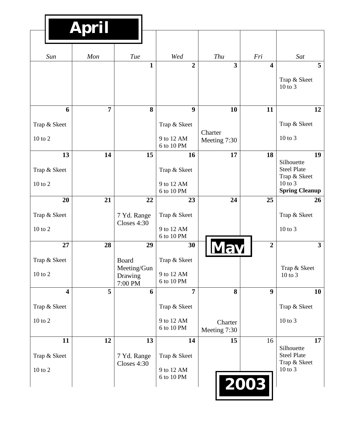|                                     | April          |                                            |              |                                                |                         |                         |                                                                                                |
|-------------------------------------|----------------|--------------------------------------------|--------------|------------------------------------------------|-------------------------|-------------------------|------------------------------------------------------------------------------------------------|
| Sun                                 | Mon            | Tue                                        |              | Wed                                            | Thu                     | Fri                     | Sat                                                                                            |
|                                     |                |                                            | $\mathbf{1}$ | $\overline{2}$                                 | $\overline{\mathbf{3}}$ | $\overline{\mathbf{4}}$ | 5<br>Trap & Skeet<br>$10$ to $3$                                                               |
| 6                                   | $\overline{7}$ |                                            | 8            | 9                                              | 10                      | 11                      | 12                                                                                             |
| Trap & Skeet<br>$10$ to $2$         |                |                                            |              | Trap & Skeet<br>9 to 12 AM<br>6 to 10 PM       | Charter<br>Meeting 7:30 |                         | Trap & Skeet<br>$10$ to $3$                                                                    |
| 13<br>Trap & Skeet<br>$10$ to $2$   | 14             |                                            | 15           | 16<br>Trap & Skeet<br>9 to 12 AM<br>6 to 10 PM | 17                      | 18                      | 19<br>Silhouette<br><b>Steel Plate</b><br>Trap & Skeet<br>$10$ to $3$<br><b>Spring Cleanup</b> |
| 20                                  | 21             |                                            | 22           | 23                                             | 24                      | 25                      | 26                                                                                             |
| Trap & Skeet<br>$10$ to $2$         |                | 7 Yd. Range<br>Closes 4:30                 |              | Trap & Skeet<br>9 to 12 AM<br>6 to 10 PM       |                         |                         | Trap & Skeet<br>10 to 3                                                                        |
| 27                                  | 28             |                                            | 29           | 30                                             |                         | $\overline{2}$          | 3 <sup>1</sup>                                                                                 |
| Trap & Skeet<br>$10$ to $2$         |                | Board<br>Meeting/Gun<br>Drawing<br>7:00 PM |              | Trap & Skeet<br>9 to 12 AM<br>6 to 10 PM       |                         |                         | Trap & Skeet<br>10 to 3                                                                        |
| $\overline{\mathbf{4}}$             | 5              |                                            | 6            | $\overline{7}$                                 | 8                       | $\boldsymbol{9}$        | <b>10</b>                                                                                      |
| Trap & Skeet                        |                |                                            |              | Trap & Skeet                                   |                         |                         | Trap & Skeet                                                                                   |
| $10$ to $2\,$                       |                |                                            |              | 9 to 12 AM<br>6 to 10 PM                       | Charter<br>Meeting 7:30 |                         | $10$ to $3$                                                                                    |
| 11<br>Trap & Skeet<br>$10$ to $2\,$ | 12             | 7 Yd. Range<br>Closes 4:30                 | 13           | 14<br>Trap & Skeet<br>9 to 12 AM<br>6 to 10 PM | 15                      | 16<br>2003              | 17<br>Silhouette<br><b>Steel Plate</b><br>Trap & Skeet<br>10 to 3                              |